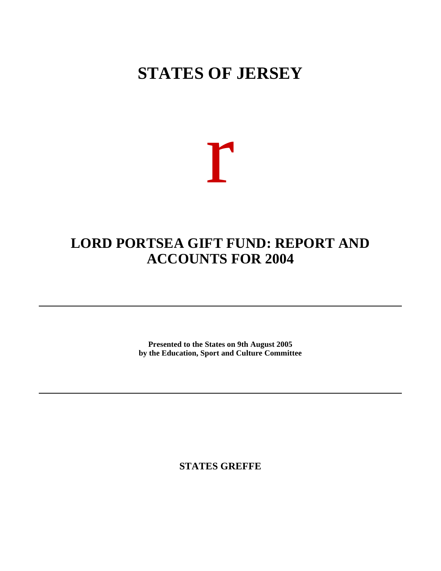## **STATES OF JERSEY**

# r

### **LORD PORTSEA GIFT FUND: REPORT AND ACCOUNTS FOR 2004**

**Presented to the States on 9th August 2005 by the Education, Sport and Culture Committee**

**STATES GREFFE**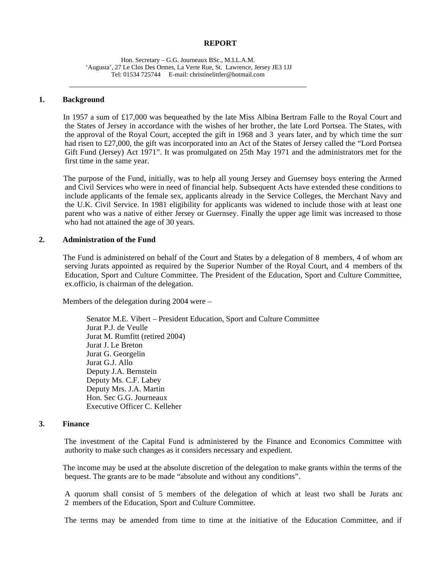#### **REPORT**

Hon. Secretary – G.G. Journeaux BSc., M.I.L.A.M. 'Augusta', 27 Le Clos Des Ormes, La Verte Rue, St. Lawrence, Jersey JE3 1JJ Tel: 01534 725744 E-mail: [christinelittler@hotmail.com](mailto:christinelittler@hotmail.com)

#### **1. Background**

 In 1957 a sum of £17,000 was bequeathed by the late Miss Albina Bertram Falle to the Royal Court and the States of Jersey in accordance with the wishes of her brother, the late Lord Portsea. The States, with the approval of the Royal Court, accepted the gift in 1968 and 3 years later, and by which time the sum had risen to £27,000, the gift was incorporated into an Act of the States of Jersey called the "Lord Portsea Gift Fund (Jersey) Act 1971". It was promulgated on 25th May 1971 and the administrators met for the first time in the same year.

 The purpose of the Fund, initially, was to help all young Jersey and Guernsey boys entering the Armed and Civil Services who were in need of financial help. Subsequent Acts have extended these conditions to include applicants of the female sex, applicants already in the Service Colleges, the Merchant Navy and the U.K. Civil Service. In 1981 eligibility for applicants was widened to include those with at least one parent who was a native of either Jersey or Guernsey. Finally the upper age limit was increased to those who had not attained the age of 30 years.

#### **2. Administration of the Fund**

 The Fund is administered on behalf of the Court and States by a delegation of 8 members, 4 of whom are serving Jurats appointed as required by the Superior Number of the Royal Court, and 4 members of the Education, Sport and Culture Committee. The President of the Education, Sport and Culture Committee, ex.officio, is chairman of the delegation.

Members of the delegation during 2004 were –

 Senator M.E. Vibert – President Education, Sport and Culture Committee Jurat P.J. de Veulle Jurat M. Rumfitt (retired 2004) Jurat J. Le Breton Jurat G. Georgelin Jurat G.J. Allo Deputy J.A. Bernstein Deputy Ms. C.F. Labey Deputy Mrs. J.A. Martin Hon. Sec G.G. Journeaux Executive Officer C. Kelleher

#### **3. Finance**

 The investment of the Capital Fund is administered by the Finance and Economics Committee with authority to make such changes as it considers necessary and expedient.

 The income may be used at the absolute discretion of the delegation to make grants within the terms of the bequest. The grants are to be made "absolute and without any conditions".

A quorum shall consist of 5 members of the delegation of which at least two shall be Jurats and 2 members of the Education, Sport and Culture Committee.

The terms may be amended from time to time at the initiative of the Education Committee, and if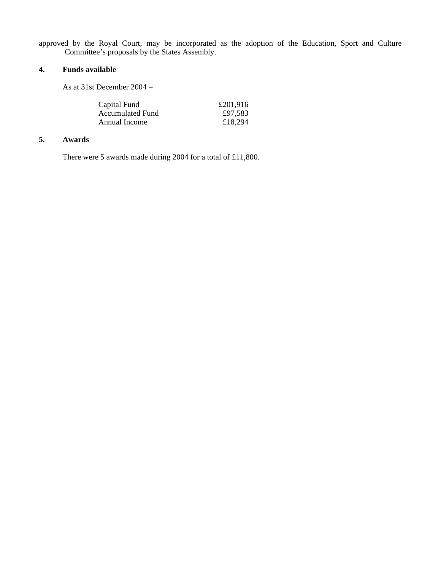approved by the Royal Court, may be incorporated as the adoption of the Education, Sport and Culture Committee's proposals by the States Assembly.

#### **4. Funds available**

As at 31st December 2004 –

| £201,916 |
|----------|
| £97,583  |
| £18,294  |
|          |

#### **5. Awards**

There were 5 awards made during 2004 for a total of £11,800.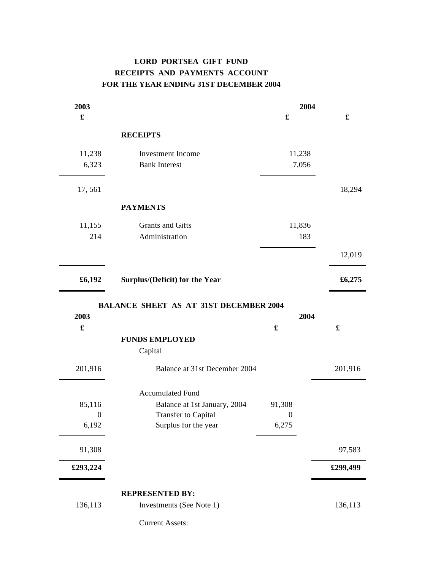#### **LORD PORTSEA GIFT FUND RECEIPTS AND PAYMENTS ACCOUNT FOR THE YEAR ENDING 31ST DECEMBER 2004**

| 2003                      |                                                    | 2004                      |          |
|---------------------------|----------------------------------------------------|---------------------------|----------|
| $\pmb{\mathfrak{L}}$      |                                                    | £                         |          |
|                           | <b>RECEIPTS</b>                                    |                           |          |
| 11,238                    | Investment Income                                  | 11,238                    |          |
| 6,323                     | <b>Bank Interest</b>                               | 7,056                     |          |
| 17,561                    |                                                    |                           | 18,294   |
|                           | <b>PAYMENTS</b>                                    |                           |          |
| 11,155                    | Grants and Gifts                                   | 11,836                    |          |
| 214                       | Administration                                     | 183                       |          |
|                           |                                                    |                           | 12,019   |
| £6,192                    | Surplus/(Deficit) for the Year                     |                           | £6,275   |
| $\pmb{\mathfrak{X}}$      | <b>FUNDS EMPLOYED</b><br>Capital                   | $\pmb{\mathfrak{L}}$      | £        |
| 201,916                   | Balance at 31st December 2004                      |                           | 201,916  |
|                           |                                                    |                           |          |
|                           | <b>Accumulated Fund</b>                            |                           |          |
| 85,116                    | Balance at 1st January, 2004                       | 91,308                    |          |
| $\boldsymbol{0}$<br>6,192 | <b>Transfer to Capital</b><br>Surplus for the year | $\boldsymbol{0}$<br>6,275 |          |
| 91,308                    |                                                    |                           | 97,583   |
| £293,224                  |                                                    |                           | £299,499 |
|                           | <b>REPRESENTED BY:</b>                             |                           |          |
| 136,113                   | Investments (See Note 1)                           |                           | 136,113  |
|                           | <b>Current Assets:</b>                             |                           |          |